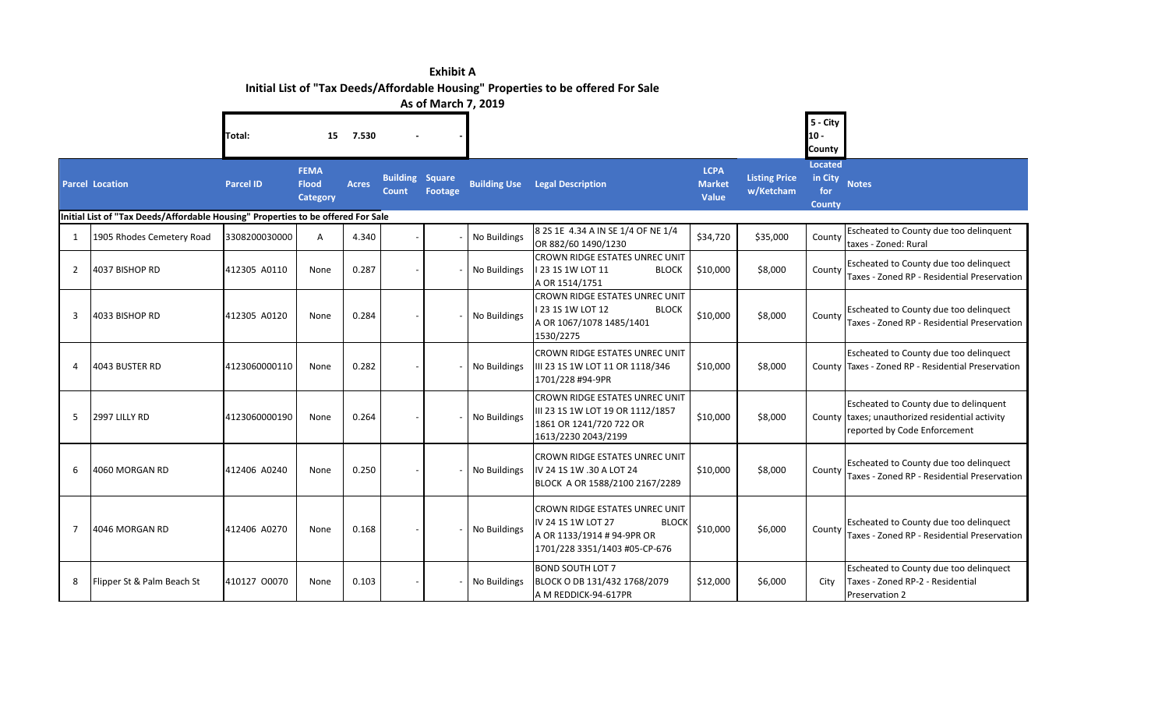|                | <b>Exhibit A</b><br>Initial List of "Tax Deeds/Affordable Housing" Properties to be offered For Sale |                  |                                                |              |                                        |                     |                     |                                                                                                                                            |                                       |                                   |                                            |                                                                                                                          |
|----------------|------------------------------------------------------------------------------------------------------|------------------|------------------------------------------------|--------------|----------------------------------------|---------------------|---------------------|--------------------------------------------------------------------------------------------------------------------------------------------|---------------------------------------|-----------------------------------|--------------------------------------------|--------------------------------------------------------------------------------------------------------------------------|
|                |                                                                                                      |                  |                                                |              |                                        | As of March 7, 2019 |                     |                                                                                                                                            |                                       |                                   |                                            |                                                                                                                          |
|                |                                                                                                      | Total:           | 15                                             | 7.530        |                                        |                     |                     |                                                                                                                                            |                                       |                                   | 5 - City<br>$10 -$<br><b>County</b>        |                                                                                                                          |
|                | <b>Parcel Location</b>                                                                               | <b>Parcel ID</b> | <b>FEMA</b><br><b>Flood</b><br><b>Category</b> | <b>Acres</b> | <b>Building Square</b><br><b>Count</b> | Footage             | <b>Building Use</b> | <b>Legal Description</b>                                                                                                                   | <b>LCPA</b><br><b>Market</b><br>Value | <b>Listing Price</b><br>w/Ketcham | <b>Located</b><br>in City<br>for<br>County | <b>Notes</b>                                                                                                             |
|                | Initial List of "Tax Deeds/Affordable Housing" Properties to be offered For Sale                     |                  |                                                |              |                                        |                     |                     |                                                                                                                                            |                                       |                                   |                                            |                                                                                                                          |
| 1              | 1905 Rhodes Cemetery Road                                                                            | 3308200030000    | A                                              | 4.340        |                                        |                     | No Buildings        | 8 2S 1E 4.34 A IN SE 1/4 OF NE 1/4<br>OR 882/60 1490/1230                                                                                  | \$34,720                              | \$35,000                          | County                                     | Escheated to County due too delinquent<br>taxes - Zoned: Rural                                                           |
| 2              | 4037 BISHOP RD                                                                                       | 412305 A0110     | None                                           | 0.287        |                                        |                     | No Buildings        | CROWN RIDGE ESTATES UNREC UNIT<br>123 1S 1W LOT 11<br><b>BLOCK</b><br>A OR 1514/1751                                                       | \$10,000                              | \$8,000                           | County                                     | Escheated to County due too delinquect<br>Taxes - Zoned RP - Residential Preservation                                    |
| 3              | 4033 BISHOP RD                                                                                       | 412305 A0120     | None                                           | 0.284        |                                        |                     | No Buildings        | CROWN RIDGE ESTATES UNREC UNIT<br>123 1S 1W LOT 12<br><b>BLOCK</b><br>A OR 1067/1078 1485/1401<br>1530/2275                                | \$10,000                              | \$8,000                           | County                                     | Escheated to County due too delinquect<br>Taxes - Zoned RP - Residential Preservation                                    |
| Δ              | 4043 BUSTER RD                                                                                       | 4123060000110    | None                                           | 0.282        |                                        |                     | No Buildings        | <b>CROWN RIDGE ESTATES UNREC UNIT</b><br>III 23 1S 1W LOT 11 OR 1118/346<br>1701/228 #94-9PR                                               | \$10,000                              | \$8,000                           |                                            | Escheated to County due too delinquect<br>County Taxes - Zoned RP - Residential Preservation                             |
| 5              | 2997 LILLY RD                                                                                        | 4123060000190    | None                                           | 0.264        |                                        |                     | No Buildings        | CROWN RIDGE ESTATES UNREC UNIT<br>III 23 1S 1W LOT 19 OR 1112/1857<br>1861 OR 1241/720 722 OR<br>1613/2230 2043/2199                       | \$10,000                              | \$8,000                           |                                            | Escheated to County due to delinquent<br>County taxes; unauthorized residential activity<br>reported by Code Enforcement |
| 6              | 4060 MORGAN RD                                                                                       | 412406 A0240     | None                                           | 0.250        |                                        |                     | No Buildings        | <b>CROWN RIDGE ESTATES UNREC UNIT</b><br>IV 24 1S 1W .30 A LOT 24<br>BLOCK A OR 1588/2100 2167/2289                                        | \$10,000                              | \$8,000                           | County                                     | Escheated to County due too delinquect<br>Taxes - Zoned RP - Residential Preservation                                    |
| $\overline{7}$ | 4046 MORGAN RD                                                                                       | 412406 A0270     | None                                           | 0.168        |                                        |                     | No Buildings        | <b>CROWN RIDGE ESTATES UNREC UNIT</b><br>IV 24 1S 1W LOT 27<br><b>BLOCK</b><br>A OR 1133/1914 # 94-9PR OR<br>1701/228 3351/1403 #05-CP-676 | \$10,000                              | \$6,000                           | County                                     | Escheated to County due too delinquect<br>Taxes - Zoned RP - Residential Preservation                                    |
| 8              | Flipper St & Palm Beach St                                                                           | 410127 00070     | None                                           | 0.103        |                                        |                     | No Buildings        | <b>BOND SOUTH LOT 7</b><br>BLOCK O DB 131/432 1768/2079                                                                                    | \$12,000                              | \$6,000                           | City                                       | Escheated to County due too delinquect<br>Taxes - Zoned RP-2 - Residential                                               |

A M REDDICK-94-617PR

Preservation 2